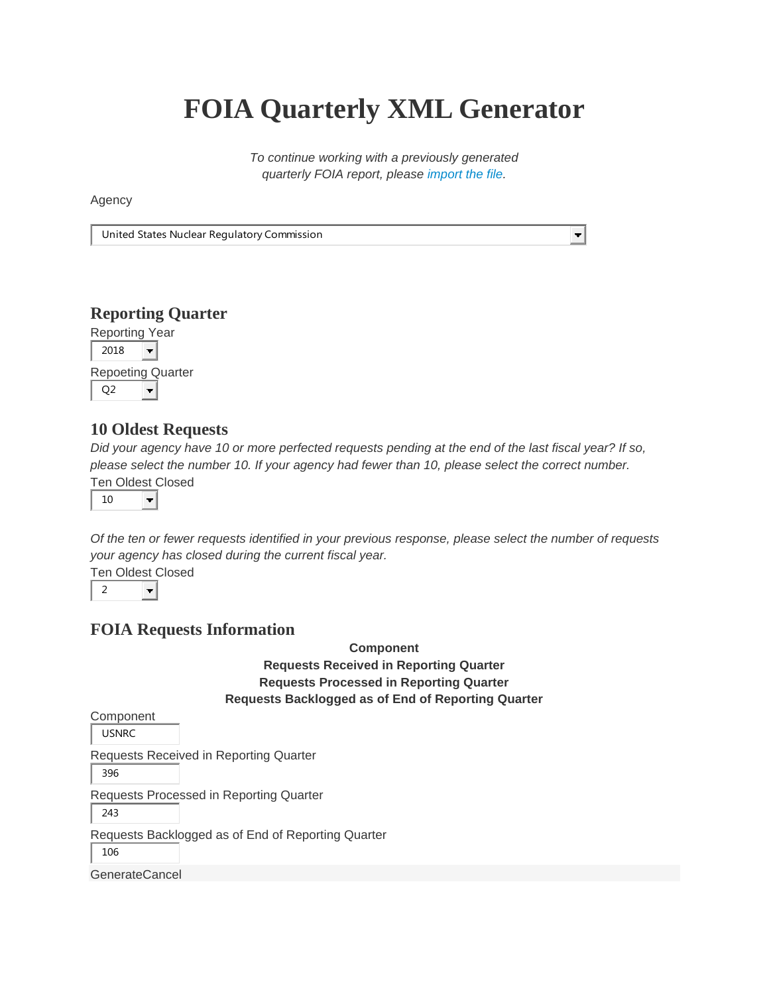# **FOIA Quarterly XML Generator**

*To continue working with a previously generated quarterly FOIA report, please [import the file.](https://archive.foia.gov/xmlgen/)*

 $\left. \right. \right. \left. \left. \right. \right. \left. \left. \right. \left. \right. \left. \left. \right. \left. \right. \left. \left. \right. \left. \right. \left. \left. \right. \right. \left. \left. \right. \left. \left. \right. \right. \left. \left. \right. \right. \left. \left. \right. \left. \left. \right. \right. \left. \left. \right. \right. \left. \left. \right. \right. \left. \left. \right. \right. \left. \left. \right. \left. \left. \right. \right. \left. \left. \right. \right. \left. \left. \right. \left. \left. \right. \$ 

Agency

United States Nuclear Regulatory Commission

## **Reporting Quarter**

Reporting Year

2018  $\overline{\phantom{0}}$ Repoeting Quarter

÷

Q2

# **10 Oldest Requests**

*Did your agency have 10 or more perfected requests pending at the end of the last fiscal year? If so, please select the number 10. If your agency had fewer than 10, please select the correct number.*

Ten Oldest Closed



*Of the ten or fewer requests identified in your previous response, please select the number of requests your agency has closed during the current fiscal year.*

Ten Oldest Closed

2  $\overline{\mathbf{r}}$ 

## **FOIA Requests Information**

#### **Component Requests Received in Reporting Quarter Requests Processed in Reporting Quarter Requests Backlogged as of End of Reporting Quarter**

Component USNRC Requests Received in Reporting Quarter 396 Requests Processed in Reporting Quarter 243 Requests Backlogged as of End of Reporting Quarter 106 GenerateCancel